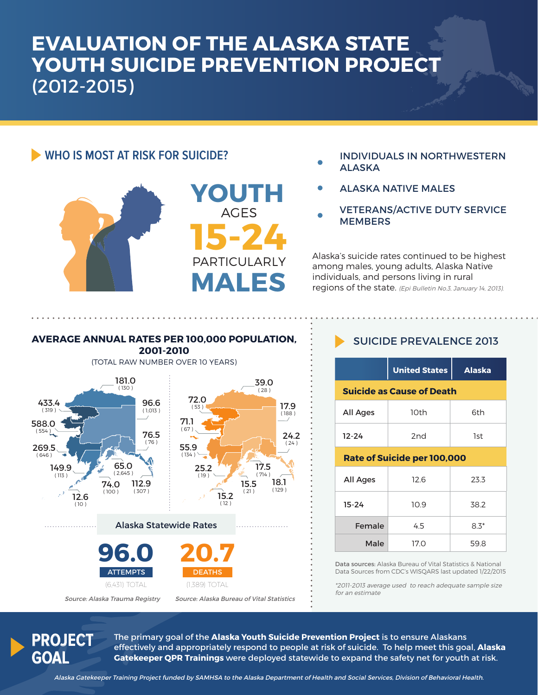## **EVALUATION OF THE ALASKA STATE YOUTH SUICIDE PREVENTION PROJECT** (2012-2015)

## **WHO IS MOST AT RISK FOR SUICIDE?**





- INDIVIDUALS IN NORTHWESTERN ALASKA
- ALASKA NATIVE MALES
- VETERANS/ACTIVE DUTY SERVICE **MEMBERS**

Alaska's suicide rates continued to be highest among males, young adults, Alaska Native individuals, and persons living in rural regions of the state. (Epi Bulletin No.3, January 14, 2013).

## **AVERAGE ANNUAL RATES PER 100,000 POPULATION,**

**2001-2010**



### SUICIDE PREVALENCE 2013

|                                  | <b>United States</b> | <b>Alaska</b> |  |
|----------------------------------|----------------------|---------------|--|
| <b>Suicide as Cause of Death</b> |                      |               |  |
| All Ages                         | 10th                 | 6th           |  |
| 12-24                            | 2 <sub>nd</sub>      | 1st           |  |

#### **Rate of Suicide per 100,000**

| <b>All Ages</b> | 12.6 | 23.3   |
|-----------------|------|--------|
| $15 - 24$       | 10.9 | 38.2   |
| Female          | 4.5  | $8.3*$ |
| Male            | 17.0 | 59.8   |

Data sources: Alaska Bureau of Vital Statistics & National Data Sources from CDC's WISQARS last updated 1/22/2015

\*2011-2013 average used to reach adequate sample size for an estimate

## **PROJECT GOAL**

The primary goal of the **Alaska Youth Suicide Prevention Project** is to ensure Alaskans effectively and appropriately respond to people at risk of suicide. To help meet this goal, **Alaska Gatekeeper QPR Trainings** were deployed statewide to expand the safety net for youth at risk.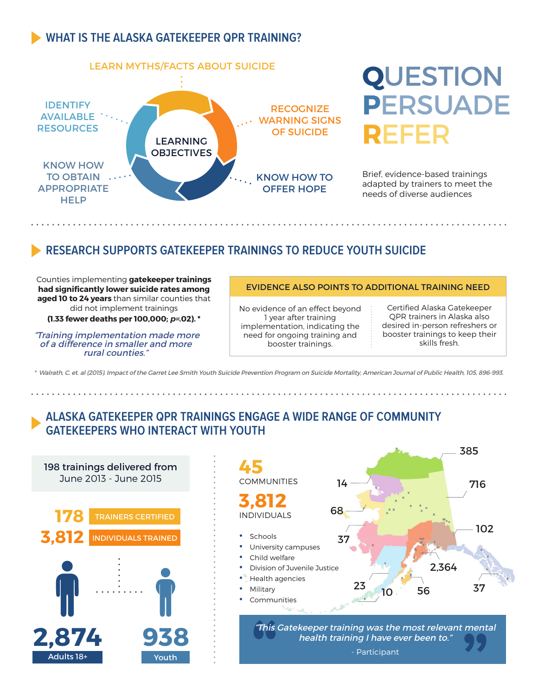## **WHAT IS THE ALASKA GATEKEEPER QPR TRAINING?**



# **Q**UESTION **P**ERSUADE **R**EFER

Brief, evidence-based trainings adapted by trainers to meet the needs of diverse audiences

## **RESEARCH SUPPORTS GATEKEEPER TRAININGS TO REDUCE YOUTH SUICIDE**

Counties implementing **gatekeeper trainings had significantly lower suicide rates among aged 10 to 24 years** than similar counties that did not implement trainings

**(1.33 fewer deaths per 100,000; p=.02). \*** 

 "Training implementation made more of a difference in smaller and more rural counties."

#### EVIDENCE ALSO POINTS TO ADDITIONAL TRAINING NEED

No evidence of an effect beyond 1 year after training implementation, indicating the need for ongoing training and booster trainings.

Certified Alaska Gatekeeper QPR trainers in Alaska also desired in-person refreshers or booster trainings to keep their skills fresh.

385

716

102

37

\* Walrath, C. et. al (2015). Impact of the Garret Lee Smith Youth Suicide Prevention Program on Suicide Mortality, American Journal of Public Health, 105, 896-993.

## **ALASKA GATEKEEPER QPR TRAININGS ENGAGE A WIDE RANGE OF COMMUNITY GATEKEEPERS WHO INTERACT WITH YOUTH**

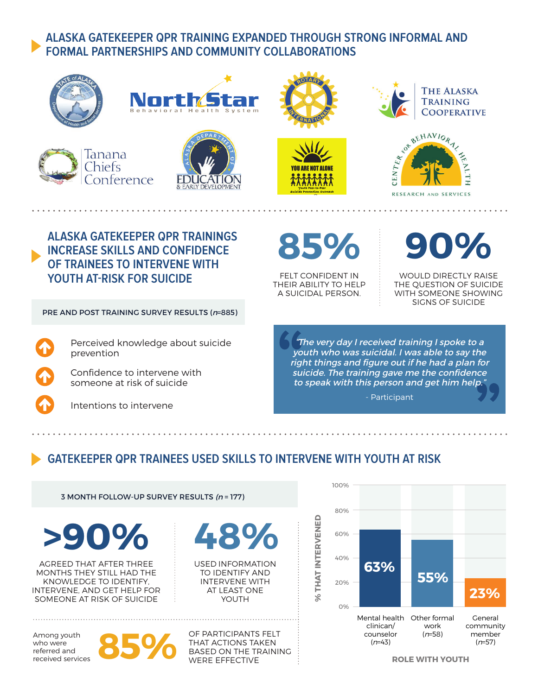## **ALASKA GATEKEEPER QPR TRAINING EXPANDED THROUGH STRONG INFORMAL AND FORMAL PARTNERSHIPS AND COMMUNITY COLLABORATIONS**

















**ALASKA GATEKEEPER QPR TRAININGS INCREASE SKILLS AND CONFIDENCE OF TRAINEES TO INTERVENE WITH YOUTH AT-RISK FOR SUICIDE**

PRE AND POST TRAINING SURVEY RESULTS (n=885)

Perceived knowledge about suicide prevention

Confidence to intervene with someone at risk of suicide

Intentions to intervene

**ALASKA**

**Youth Peer-to-Peer Suicide Prevention Outreach**

VAII ARF NAT ALANF

FELT CONFIDENT IN THEIR ABILITY TO HELP A SUICIDAL PERSON.

**% THAT INTERVENED**

% THAT INTERVENED

**85% 90%**

WOULD DIRECTLY RAISE THE QUESTION OF SUICIDE WITH SOMEONE SHOWING SIGNS OF SUICIDE

"The very day I received training I spoke to a youth who was suicidal. I was able to say the right things and figure out if he had a plan for suicide. The training gave me the confidence to speak with this person and get him help."

- Participant

## **GATEKEEPER QPR TRAINEES USED SKILLS TO INTERVENE WITH YOUTH AT RISK**

3 MONTH FOLLOW-UP SURVEY RESULTS (n = 177)

**>90% 48%**

AGREED THAT AFTER THREE MONTHS THEY STILL HAD THE KNOWLEDGE TO IDENTIFY, INTERVENE, AND GET HELP FOR SOMEONE AT RISK OF SUICIDE

Among youth who were referred and received services



USED INFORMATION TO IDENTIFY AND INTERVENE WITH AT LEAST ONE YOUTH

**85 M OF PARTICIPANTS FELT<br>
BASED ON THE TRAININ<br>
WERE EFFECTIVE** THAT ACTIONS TAKEN BASED ON THE TRAINING WERE EFFECTIVE



**ROLE WITH YOUTH**